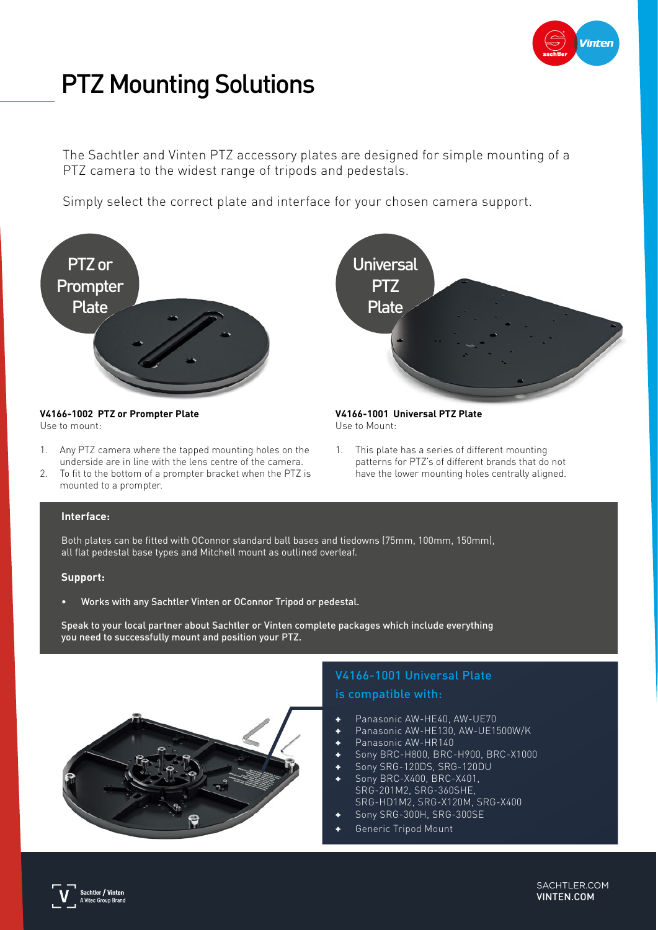

# PTZ Mounting Solutions

The Sachtler and Vinten PTZ accessory plates are designed for simple mounting of a PTZ camera to the widest range of tripods and pedestals.

Simply select the correct plate and interface for your chosen camera support.



#### **V4166-1002 PTZ or Prompter Plate** Use to mount:

- 1. Any PTZ camera where the tapped mounting holes on the underside are in line with the lens centre of the camera.
- 2. To fit to the bottom of a prompter bracket when the PTZ is mounted to a prompter.

### **Interface:**

Both plates can be fitted with OConnor standard ball bases and tiedowns (75mm, 100mm, 150mm), all flat pedestal base types and Mitchell mount as outlined overleaf.

#### **Support:**

• Works with any Sachtler Vinten or OConnor Tripod or pedestal.

Speak to your local partner about Sachtler or Vinten complete packages which include everything you need to successfully mount and position your PTZ.



## V4166-1001 Universal Plate is compatible with:

**V4166-1001 Universal PTZ Plate**

1. This plate has a series of different mounting

patterns for PTZ's of different brands that do not have the lower mounting holes centrally aligned.

Use to Mount:

**Universal PTZ** Plate

- 
- + Panasonic AW-HE40, AW-UE70
- Panasonic AW-HE130, AW-UE1500W/K
- Panasonic AW-HR140
- + Sony BRC-H800, BRC-H900, BRC-X1000
- Sony SRG-120DS, SRG-120DU Sony BRC-X400, BRC-X401, SRG-201M2, SRG-360SHE, SRG-HD1M2, SRG-X120M, SRG-X400
- Sony SRG-300H, SRG-300SE
- Generic Tripod Mount